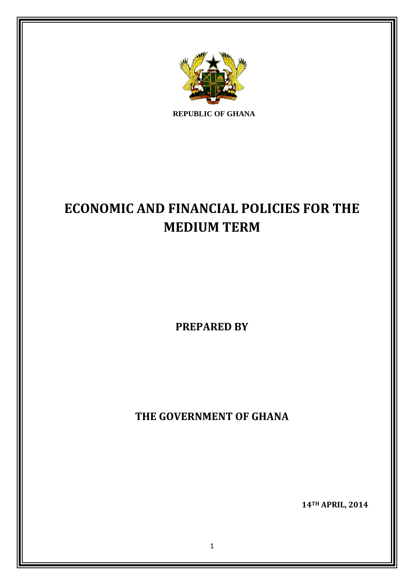

**REPUBLIC OF GHANA**

# **ECONOMIC AND FINANCIAL POLICIES FOR THE MEDIUM TERM**

**PREPARED BY**

**THE GOVERNMENT OF GHANA**

 **14TH APRIL, 2014**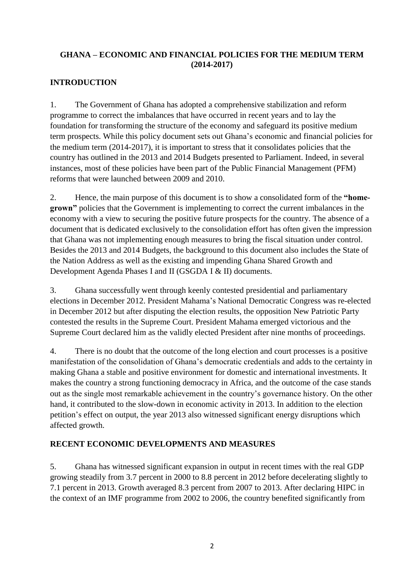#### **GHANA – ECONOMIC AND FINANCIAL POLICIES FOR THE MEDIUM TERM (2014-2017)**

#### **INTRODUCTION**

1. The Government of Ghana has adopted a comprehensive stabilization and reform programme to correct the imbalances that have occurred in recent years and to lay the foundation for transforming the structure of the economy and safeguard its positive medium term prospects. While this policy document sets out Ghana's economic and financial policies for the medium term (2014-2017), it is important to stress that it consolidates policies that the country has outlined in the 2013 and 2014 Budgets presented to Parliament. Indeed, in several instances, most of these policies have been part of the Public Financial Management (PFM) reforms that were launched between 2009 and 2010.

2. Hence, the main purpose of this document is to show a consolidated form of the **"homegrown"** policies that the Government is implementing to correct the current imbalances in the economy with a view to securing the positive future prospects for the country. The absence of a document that is dedicated exclusively to the consolidation effort has often given the impression that Ghana was not implementing enough measures to bring the fiscal situation under control. Besides the 2013 and 2014 Budgets, the background to this document also includes the State of the Nation Address as well as the existing and impending Ghana Shared Growth and Development Agenda Phases I and II (GSGDA I & II) documents.

3. Ghana successfully went through keenly contested presidential and parliamentary elections in December 2012. President Mahama's National Democratic Congress was re-elected in December 2012 but after disputing the election results, the opposition New Patriotic Party contested the results in the Supreme Court. President Mahama emerged victorious and the Supreme Court declared him as the validly elected President after nine months of proceedings.

4. There is no doubt that the outcome of the long election and court processes is a positive manifestation of the consolidation of Ghana's democratic credentials and adds to the certainty in making Ghana a stable and positive environment for domestic and international investments. It makes the country a strong functioning democracy in Africa, and the outcome of the case stands out as the single most remarkable achievement in the country's governance history. On the other hand, it contributed to the slow-down in economic activity in 2013. In addition to the election petition's effect on output, the year 2013 also witnessed significant energy disruptions which affected growth.

# **RECENT ECONOMIC DEVELOPMENTS AND MEASURES**

5. Ghana has witnessed significant expansion in output in recent times with the real GDP growing steadily from 3.7 percent in 2000 to 8.8 percent in 2012 before decelerating slightly to 7.1 percent in 2013. Growth averaged 8.3 percent from 2007 to 2013. After declaring HIPC in the context of an IMF programme from 2002 to 2006, the country benefited significantly from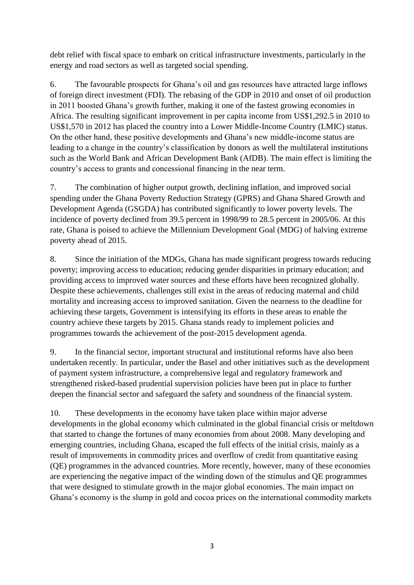debt relief with fiscal space to embark on critical infrastructure investments, particularly in the energy and road sectors as well as targeted social spending.

6. The favourable prospects for Ghana's oil and gas resources have attracted large inflows of foreign direct investment (FDI). The rebasing of the GDP in 2010 and onset of oil production in 2011 boosted Ghana's growth further, making it one of the fastest growing economies in Africa. The resulting significant improvement in per capita income from US\$1,292.5 in 2010 to US\$1,570 in 2012 has placed the country into a Lower Middle-Income Country (LMIC) status. On the other hand, these positive developments and Ghana's new middle-income status are leading to a change in the country's classification by donors as well the multilateral institutions such as the World Bank and African Development Bank (AfDB). The main effect is limiting the country's access to grants and concessional financing in the near term.

7. The combination of higher output growth, declining inflation, and improved social spending under the Ghana Poverty Reduction Strategy (GPRS) and Ghana Shared Growth and Development Agenda (GSGDA) has contributed significantly to lower poverty levels. The incidence of poverty declined from 39.5 percent in 1998/99 to 28.5 percent in 2005/06. At this rate, Ghana is poised to achieve the Millennium Development Goal (MDG) of halving extreme poverty ahead of 2015.

8. Since the initiation of the MDGs, Ghana has made significant progress towards reducing poverty; improving access to education; reducing gender disparities in primary education; and providing access to improved water sources and these efforts have been recognized globally. Despite these achievements, challenges still exist in the areas of reducing maternal and child mortality and increasing access to improved sanitation. Given the nearness to the deadline for achieving these targets, Government is intensifying its efforts in these areas to enable the country achieve these targets by 2015. Ghana stands ready to implement policies and programmes towards the achievement of the post-2015 development agenda.

9. In the financial sector, important structural and institutional reforms have also been undertaken recently. In particular, under the Basel and other initiatives such as the development of payment system infrastructure, a comprehensive legal and regulatory framework and strengthened risked-based prudential supervision policies have been put in place to further deepen the financial sector and safeguard the safety and soundness of the financial system.

10. These developments in the economy have taken place within major adverse developments in the global economy which culminated in the global financial crisis or meltdown that started to change the fortunes of many economies from about 2008. Many developing and emerging countries, including Ghana, escaped the full effects of the initial crisis, mainly as a result of improvements in commodity prices and overflow of credit from quantitative easing (QE) programmes in the advanced countries. More recently, however, many of these economies are experiencing the negative impact of the winding down of the stimulus and QE programmes that were designed to stimulate growth in the major global economies. The main impact on Ghana's economy is the slump in gold and cocoa prices on the international commodity markets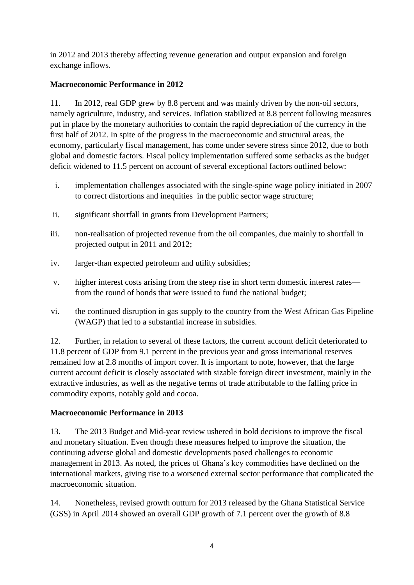in 2012 and 2013 thereby affecting revenue generation and output expansion and foreign exchange inflows.

# **Macroeconomic Performance in 2012**

11. In 2012, real GDP grew by 8.8 percent and was mainly driven by the non-oil sectors, namely agriculture, industry, and services. Inflation stabilized at 8.8 percent following measures put in place by the monetary authorities to contain the rapid depreciation of the currency in the first half of 2012. In spite of the progress in the macroeconomic and structural areas, the economy, particularly fiscal management, has come under severe stress since 2012, due to both global and domestic factors. Fiscal policy implementation suffered some setbacks as the budget deficit widened to 11.5 percent on account of several exceptional factors outlined below:

- i. implementation challenges associated with the single-spine wage policy initiated in 2007 to correct distortions and inequities in the public sector wage structure;
- ii. significant shortfall in grants from Development Partners;
- iii. non-realisation of projected revenue from the oil companies, due mainly to shortfall in projected output in 2011 and 2012;
- iv. larger-than expected petroleum and utility subsidies;
- v. higher interest costs arising from the steep rise in short term domestic interest rates from the round of bonds that were issued to fund the national budget;
- vi. the continued disruption in gas supply to the country from the West African Gas Pipeline (WAGP) that led to a substantial increase in subsidies.

12. Further, in relation to several of these factors, the current account deficit deteriorated to 11.8 percent of GDP from 9.1 percent in the previous year and gross international reserves remained low at 2.8 months of import cover. It is important to note, however, that the large current account deficit is closely associated with sizable foreign direct investment, mainly in the extractive industries, as well as the negative terms of trade attributable to the falling price in commodity exports, notably gold and cocoa.

# **Macroeconomic Performance in 2013**

13. The 2013 Budget and Mid-year review ushered in bold decisions to improve the fiscal and monetary situation. Even though these measures helped to improve the situation, the continuing adverse global and domestic developments posed challenges to economic management in 2013. As noted, the prices of Ghana's key commodities have declined on the international markets, giving rise to a worsened external sector performance that complicated the macroeconomic situation.

14. Nonetheless, revised growth outturn for 2013 released by the Ghana Statistical Service (GSS) in April 2014 showed an overall GDP growth of 7.1 percent over the growth of 8.8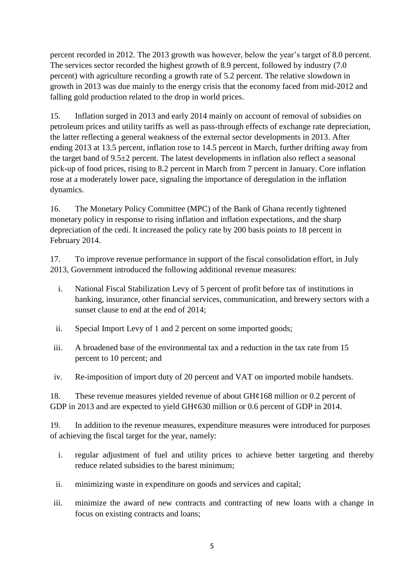percent recorded in 2012. The 2013 growth was however, below the year's target of 8.0 percent. The services sector recorded the highest growth of 8.9 percent, followed by industry (7.0 percent) with agriculture recording a growth rate of 5.2 percent. The relative slowdown in growth in 2013 was due mainly to the energy crisis that the economy faced from mid-2012 and falling gold production related to the drop in world prices.

15. Inflation surged in 2013 and early 2014 mainly on account of removal of subsidies on petroleum prices and utility tariffs as well as pass-through effects of exchange rate depreciation, the latter reflecting a general weakness of the external sector developments in 2013. After ending 2013 at 13.5 percent, inflation rose to 14.5 percent in March, further drifting away from the target band of  $9.5\pm 2$  percent. The latest developments in inflation also reflect a seasonal pick-up of food prices, rising to 8.2 percent in March from 7 percent in January. Core inflation rose at a moderately lower pace, signaling the importance of deregulation in the inflation dynamics.

16. The Monetary Policy Committee (MPC) of the Bank of Ghana recently tightened monetary policy in response to rising inflation and inflation expectations, and the sharp depreciation of the cedi. It increased the policy rate by 200 basis points to 18 percent in February 2014.

17. To improve revenue performance in support of the fiscal consolidation effort, in July 2013, Government introduced the following additional revenue measures:

- i. National Fiscal Stabilization Levy of 5 percent of profit before tax of institutions in banking, insurance, other financial services, communication, and brewery sectors with a sunset clause to end at the end of 2014;
- ii. Special Import Levy of 1 and 2 percent on some imported goods;
- iii. A broadened base of the environmental tax and a reduction in the tax rate from 15 percent to 10 percent; and
- iv. Re-imposition of import duty of 20 percent and VAT on imported mobile handsets.

18. These revenue measures yielded revenue of about  $GH¢168$  million or 0.2 percent of GDP in 2013 and are expected to yield GH¢630 million or 0.6 percent of GDP in 2014.

19. In addition to the revenue measures, expenditure measures were introduced for purposes of achieving the fiscal target for the year, namely:

- i. regular adjustment of fuel and utility prices to achieve better targeting and thereby reduce related subsidies to the barest minimum;
- ii. minimizing waste in expenditure on goods and services and capital;
- iii. minimize the award of new contracts and contracting of new loans with a change in focus on existing contracts and loans;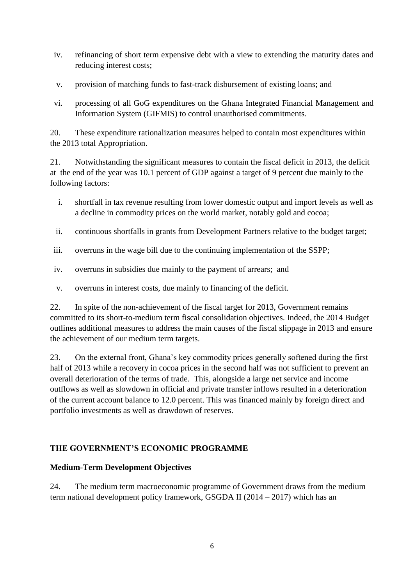- iv. refinancing of short term expensive debt with a view to extending the maturity dates and reducing interest costs;
- v. provision of matching funds to fast-track disbursement of existing loans; and
- vi. processing of all GoG expenditures on the Ghana Integrated Financial Management and Information System (GIFMIS) to control unauthorised commitments.

20. These expenditure rationalization measures helped to contain most expenditures within the 2013 total Appropriation.

21. Notwithstanding the significant measures to contain the fiscal deficit in 2013, the deficit at the end of the year was 10.1 percent of GDP against a target of 9 percent due mainly to the following factors:

- i. shortfall in tax revenue resulting from lower domestic output and import levels as well as a decline in commodity prices on the world market, notably gold and cocoa;
- ii. continuous shortfalls in grants from Development Partners relative to the budget target;
- iii. overruns in the wage bill due to the continuing implementation of the SSPP;
- iv. overruns in subsidies due mainly to the payment of arrears; and
- v. overruns in interest costs, due mainly to financing of the deficit.

22. In spite of the non-achievement of the fiscal target for 2013, Government remains committed to its short-to-medium term fiscal consolidation objectives. Indeed, the 2014 Budget outlines additional measures to address the main causes of the fiscal slippage in 2013 and ensure the achievement of our medium term targets.

23. On the external front, Ghana's key commodity prices generally softened during the first half of 2013 while a recovery in cocoa prices in the second half was not sufficient to prevent an overall deterioration of the terms of trade. This, alongside a large net service and income outflows as well as slowdown in official and private transfer inflows resulted in a deterioration of the current account balance to 12.0 percent. This was financed mainly by foreign direct and portfolio investments as well as drawdown of reserves.

# **THE GOVERNMENT'S ECONOMIC PROGRAMME**

#### **Medium-Term Development Objectives**

24. The medium term macroeconomic programme of Government draws from the medium term national development policy framework, GSGDA II (2014 – 2017) which has an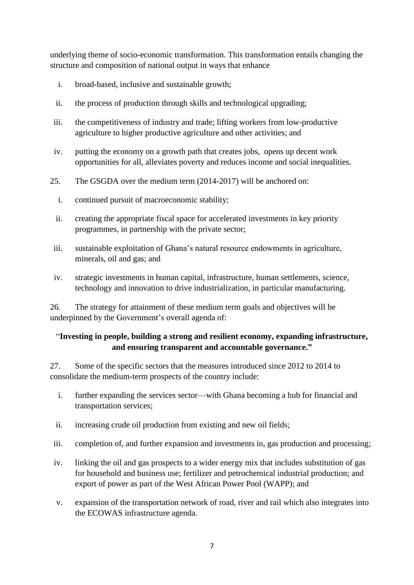underlying theme of socio-economic transformation. This transformation entails changing the structure and composition of national output in ways that enhance

- i. broad-based, inclusive and sustainable growth;
- ii. the process of production through skills and technological upgrading;
- iii. the competitiveness of industry and trade; lifting workers from low-productive agriculture to higher productive agriculture and other activities; and
- iv. putting the economy on a growth path that creates jobs, opens up decent work opportunities for all, alleviates poverty and reduces income and social inequalities.
- 25. The GSGDA over the medium term (2014-2017) will be anchored on:
	- i. continued pursuit of macroeconomic stability;
	- ii. creating the appropriate fiscal space for accelerated investments in key priority programmes, in partnership with the private sector;
- iii. sustainable exploitation of Ghana's natural resource endowments in agriculture, minerals, oil and gas; and
- iv. strategic investments in human capital, infrastructure, human settlements, science, technology and innovation to drive industrialization, in particular manufacturing.

26. The strategy for attainment of these medium term goals and objectives will be underpinned by the Government's overall agenda of:

#### ―**Investing in people, building a strong and resilient economy, expanding infrastructure, and ensuring transparent and accountable governance."**

27. Some of the specific sectors that the measures introduced since 2012 to 2014 to consolidate the medium-term prospects of the country include:

- i. further expanding the services sector—with Ghana becoming a hub for financial and transportation services;
- ii. increasing crude oil production from existing and new oil fields;
- iii. completion of, and further expansion and investments in, gas production and processing;
- iv. linking the oil and gas prospects to a wider energy mix that includes substitution of gas for household and business use; fertilizer and petrochemical industrial production; and export of power as part of the West African Power Pool (WAPP); and
- v. expansion of the transportation network of road, river and rail which also integrates into the ECOWAS infrastructure agenda.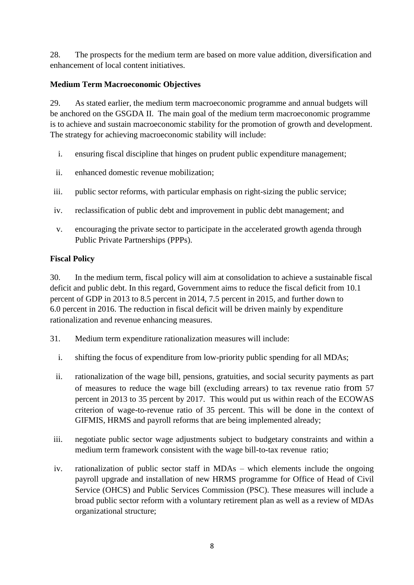28. The prospects for the medium term are based on more value addition, diversification and enhancement of local content initiatives.

#### **Medium Term Macroeconomic Objectives**

29. As stated earlier, the medium term macroeconomic programme and annual budgets will be anchored on the GSGDA II. The main goal of the medium term macroeconomic programme is to achieve and sustain macroeconomic stability for the promotion of growth and development. The strategy for achieving macroeconomic stability will include:

- i. ensuring fiscal discipline that hinges on prudent public expenditure management;
- ii. enhanced domestic revenue mobilization;
- iii. public sector reforms, with particular emphasis on right-sizing the public service;
- iv. reclassification of public debt and improvement in public debt management; and
- v. encouraging the private sector to participate in the accelerated growth agenda through Public Private Partnerships (PPPs).

# **Fiscal Policy**

30. In the medium term, fiscal policy will aim at consolidation to achieve a sustainable fiscal deficit and public debt. In this regard, Government aims to reduce the fiscal deficit from 10.1 percent of GDP in 2013 to 8.5 percent in 2014, 7.5 percent in 2015, and further down to 6.0 percent in 2016. The reduction in fiscal deficit will be driven mainly by expenditure rationalization and revenue enhancing measures.

- 31. Medium term expenditure rationalization measures will include:
	- i. shifting the focus of expenditure from low-priority public spending for all MDAs;
	- ii. rationalization of the wage bill, pensions, gratuities, and social security payments as part of measures to reduce the wage bill (excluding arrears) to tax revenue ratio from 57 percent in 2013 to 35 percent by 2017. This would put us within reach of the ECOWAS criterion of wage-to-revenue ratio of 35 percent. This will be done in the context of GIFMIS, HRMS and payroll reforms that are being implemented already;
- iii. negotiate public sector wage adjustments subject to budgetary constraints and within a medium term framework consistent with the wage bill-to-tax revenue ratio;
- iv. rationalization of public sector staff in MDAs which elements include the ongoing payroll upgrade and installation of new HRMS programme for Office of Head of Civil Service (OHCS) and Public Services Commission (PSC). These measures will include a broad public sector reform with a voluntary retirement plan as well as a review of MDAs organizational structure;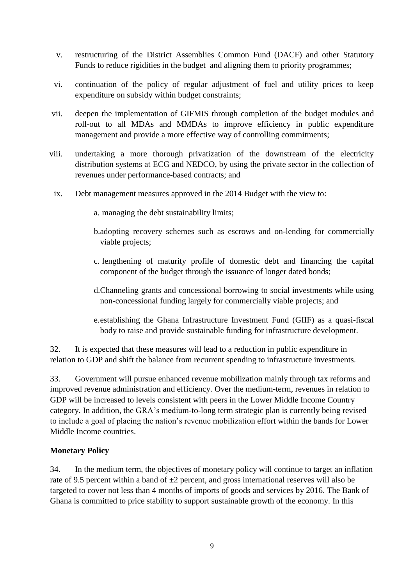- v. restructuring of the District Assemblies Common Fund (DACF) and other Statutory Funds to reduce rigidities in the budget and aligning them to priority programmes;
- vi. continuation of the policy of regular adjustment of fuel and utility prices to keep expenditure on subsidy within budget constraints;
- vii. deepen the implementation of GIFMIS through completion of the budget modules and roll-out to all MDAs and MMDAs to improve efficiency in public expenditure management and provide a more effective way of controlling commitments;
- viii. undertaking a more thorough privatization of the downstream of the electricity distribution systems at ECG and NEDCO, by using the private sector in the collection of revenues under performance-based contracts; and
- ix. Debt management measures approved in the 2014 Budget with the view to:
	- a. managing the debt sustainability limits;
	- b.adopting recovery schemes such as escrows and on-lending for commercially viable projects;
	- c. lengthening of maturity profile of domestic debt and financing the capital component of the budget through the issuance of longer dated bonds;
	- d.Channeling grants and concessional borrowing to social investments while using non-concessional funding largely for commercially viable projects; and
	- e.establishing the Ghana Infrastructure Investment Fund (GIIF) as a quasi-fiscal body to raise and provide sustainable funding for infrastructure development.

32. It is expected that these measures will lead to a reduction in public expenditure in relation to GDP and shift the balance from recurrent spending to infrastructure investments.

33. Government will pursue enhanced revenue mobilization mainly through tax reforms and improved revenue administration and efficiency. Over the medium-term, revenues in relation to GDP will be increased to levels consistent with peers in the Lower Middle Income Country category. In addition, the GRA's medium-to-long term strategic plan is currently being revised to include a goal of placing the nation's revenue mobilization effort within the bands for Lower Middle Income countries.

#### **Monetary Policy**

34. In the medium term, the objectives of monetary policy will continue to target an inflation rate of 9.5 percent within a band of  $\pm 2$  percent, and gross international reserves will also be targeted to cover not less than 4 months of imports of goods and services by 2016. The Bank of Ghana is committed to price stability to support sustainable growth of the economy. In this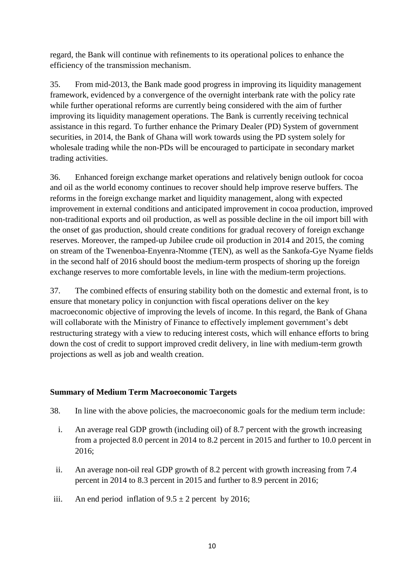regard, the Bank will continue with refinements to its operational polices to enhance the efficiency of the transmission mechanism.

35. From mid-2013, the Bank made good progress in improving its liquidity management framework, evidenced by a convergence of the overnight interbank rate with the policy rate while further operational reforms are currently being considered with the aim of further improving its liquidity management operations. The Bank is currently receiving technical assistance in this regard. To further enhance the Primary Dealer (PD) System of government securities, in 2014, the Bank of Ghana will work towards using the PD system solely for wholesale trading while the non-PDs will be encouraged to participate in secondary market trading activities.

36. Enhanced foreign exchange market operations and relatively benign outlook for cocoa and oil as the world economy continues to recover should help improve reserve buffers. The reforms in the foreign exchange market and liquidity management, along with expected improvement in external conditions and anticipated improvement in cocoa production, improved non-traditional exports and oil production, as well as possible decline in the oil import bill with the onset of gas production, should create conditions for gradual recovery of foreign exchange reserves. Moreover, the ramped-up Jubilee crude oil production in 2014 and 2015, the coming on stream of the Twenenboa-Enyenra-Ntomme (TEN), as well as the Sankofa-Gye Nyame fields in the second half of 2016 should boost the medium-term prospects of shoring up the foreign exchange reserves to more comfortable levels, in line with the medium-term projections.

37. The combined effects of ensuring stability both on the domestic and external front, is to ensure that monetary policy in conjunction with fiscal operations deliver on the key macroeconomic objective of improving the levels of income. In this regard, the Bank of Ghana will collaborate with the Ministry of Finance to effectively implement government's debt restructuring strategy with a view to reducing interest costs, which will enhance efforts to bring down the cost of credit to support improved credit delivery, in line with medium-term growth projections as well as job and wealth creation.

#### **Summary of Medium Term Macroeconomic Targets**

- 38. In line with the above policies, the macroeconomic goals for the medium term include:
	- i. An average real GDP growth (including oil) of 8.7 percent with the growth increasing from a projected 8.0 percent in 2014 to 8.2 percent in 2015 and further to 10.0 percent in 2016;
	- ii. An average non-oil real GDP growth of 8.2 percent with growth increasing from 7.4 percent in 2014 to 8.3 percent in 2015 and further to 8.9 percent in 2016;
- iii. An end period inflation of  $9.5 \pm 2$  percent by 2016;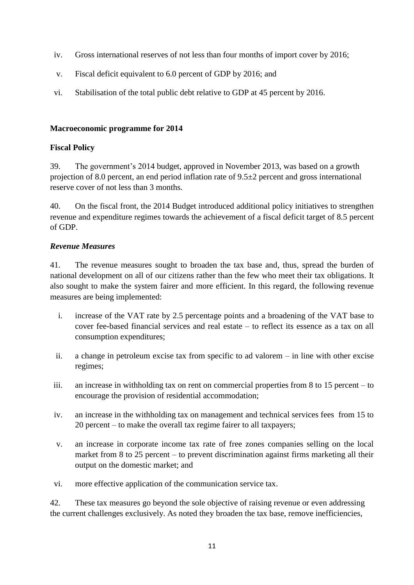- iv. Gross international reserves of not less than four months of import cover by 2016;
- v. Fiscal deficit equivalent to 6.0 percent of GDP by 2016; and
- vi. Stabilisation of the total public debt relative to GDP at 45 percent by 2016.

#### **Macroeconomic programme for 2014**

#### **Fiscal Policy**

39. The government's 2014 budget, approved in November 2013, was based on a growth projection of 8.0 percent, an end period inflation rate of 9.5±2 percent and gross international reserve cover of not less than 3 months.

40. On the fiscal front, the 2014 Budget introduced additional policy initiatives to strengthen revenue and expenditure regimes towards the achievement of a fiscal deficit target of 8.5 percent of GDP.

#### *Revenue Measures*

41. The revenue measures sought to broaden the tax base and, thus, spread the burden of national development on all of our citizens rather than the few who meet their tax obligations. It also sought to make the system fairer and more efficient. In this regard, the following revenue measures are being implemented:

- i. increase of the VAT rate by 2.5 percentage points and a broadening of the VAT base to cover fee-based financial services and real estate – to reflect its essence as a tax on all consumption expenditures;
- ii. a change in petroleum excise tax from specific to ad valorem in line with other excise regimes;
- iii. an increase in withholding tax on rent on commercial properties from 8 to 15 percent to encourage the provision of residential accommodation;
- iv. an increase in the withholding tax on management and technical services fees from 15 to 20 percent – to make the overall tax regime fairer to all taxpayers;
- v. an increase in corporate income tax rate of free zones companies selling on the local market from 8 to 25 percent – to prevent discrimination against firms marketing all their output on the domestic market; and
- vi. more effective application of the communication service tax.

42. These tax measures go beyond the sole objective of raising revenue or even addressing the current challenges exclusively. As noted they broaden the tax base, remove inefficiencies,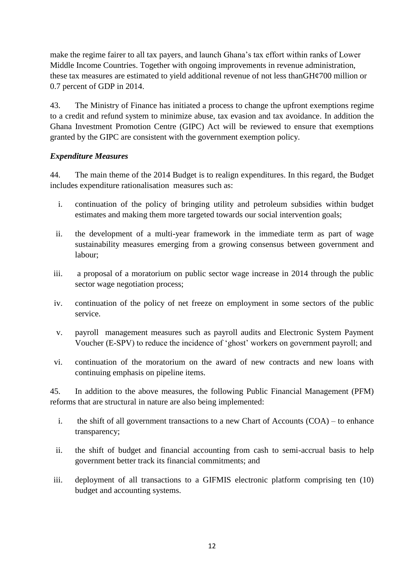make the regime fairer to all tax payers, and launch Ghana's tax effort within ranks of Lower Middle Income Countries. Together with ongoing improvements in revenue administration, these tax measures are estimated to yield additional revenue of not less than $GH¢700$  million or 0.7 percent of GDP in 2014.

43. The Ministry of Finance has initiated a process to change the upfront exemptions regime to a credit and refund system to minimize abuse, tax evasion and tax avoidance. In addition the Ghana Investment Promotion Centre (GIPC) Act will be reviewed to ensure that exemptions granted by the GIPC are consistent with the government exemption policy.

#### *Expenditure Measures*

44. The main theme of the 2014 Budget is to realign expenditures. In this regard, the Budget includes expenditure rationalisation measures such as:

- i. continuation of the policy of bringing utility and petroleum subsidies within budget estimates and making them more targeted towards our social intervention goals;
- ii. the development of a multi-year framework in the immediate term as part of wage sustainability measures emerging from a growing consensus between government and labour;
- iii. a proposal of a moratorium on public sector wage increase in 2014 through the public sector wage negotiation process;
- iv. continuation of the policy of net freeze on employment in some sectors of the public service.
- v. payroll management measures such as payroll audits and Electronic System Payment Voucher (E-SPV) to reduce the incidence of ‗ghost' workers on government payroll; and
- vi. continuation of the moratorium on the award of new contracts and new loans with continuing emphasis on pipeline items.

45. In addition to the above measures, the following Public Financial Management (PFM) reforms that are structural in nature are also being implemented:

- i. the shift of all government transactions to a new Chart of Accounts (COA) to enhance transparency;
- ii. the shift of budget and financial accounting from cash to semi-accrual basis to help government better track its financial commitments; and
- iii. deployment of all transactions to a GIFMIS electronic platform comprising ten (10) budget and accounting systems.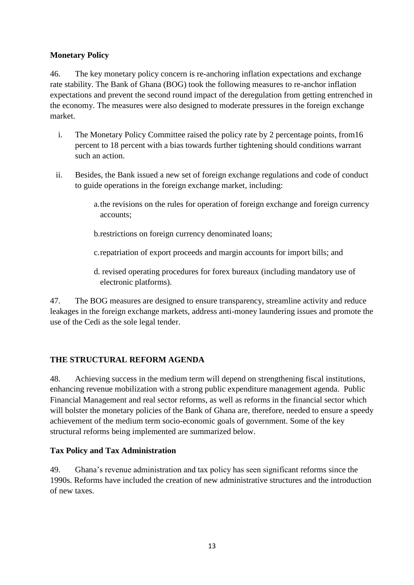#### **Monetary Policy**

46. The key monetary policy concern is re-anchoring inflation expectations and exchange rate stability. The Bank of Ghana (BOG) took the following measures to re-anchor inflation expectations and prevent the second round impact of the deregulation from getting entrenched in the economy. The measures were also designed to moderate pressures in the foreign exchange market.

- i. The Monetary Policy Committee raised the policy rate by 2 percentage points, from16 percent to 18 percent with a bias towards further tightening should conditions warrant such an action.
- ii. Besides, the Bank issued a new set of foreign exchange regulations and code of conduct to guide operations in the foreign exchange market, including:
	- a.the revisions on the rules for operation of foreign exchange and foreign currency accounts;
	- b.restrictions on foreign currency denominated loans;
	- c.repatriation of export proceeds and margin accounts for import bills; and
	- d. revised operating procedures for forex bureaux (including mandatory use of electronic platforms).

47. The BOG measures are designed to ensure transparency, streamline activity and reduce leakages in the foreign exchange markets, address anti-money laundering issues and promote the use of the Cedi as the sole legal tender.

# **THE STRUCTURAL REFORM AGENDA**

48. Achieving success in the medium term will depend on strengthening fiscal institutions, enhancing revenue mobilization with a strong public expenditure management agenda. Public Financial Management and real sector reforms, as well as reforms in the financial sector which will bolster the monetary policies of the Bank of Ghana are, therefore, needed to ensure a speedy achievement of the medium term socio-economic goals of government. Some of the key structural reforms being implemented are summarized below.

#### **Tax Policy and Tax Administration**

49. Ghana's revenue administration and tax policy has seen significant reforms since the 1990s. Reforms have included the creation of new administrative structures and the introduction of new taxes.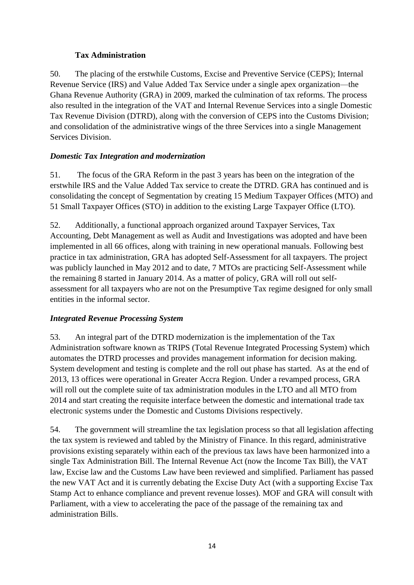# **Tax Administration**

50. The placing of the erstwhile Customs, Excise and Preventive Service (CEPS); Internal Revenue Service (IRS) and Value Added Tax Service under a single apex organization—the Ghana Revenue Authority (GRA) in 2009, marked the culmination of tax reforms. The process also resulted in the integration of the VAT and Internal Revenue Services into a single Domestic Tax Revenue Division (DTRD), along with the conversion of CEPS into the Customs Division; and consolidation of the administrative wings of the three Services into a single Management Services Division.

# *Domestic Tax Integration and modernization*

51. The focus of the GRA Reform in the past 3 years has been on the integration of the erstwhile IRS and the Value Added Tax service to create the DTRD. GRA has continued and is consolidating the concept of Segmentation by creating 15 Medium Taxpayer Offices (MTO) and 51 Small Taxpayer Offices (STO) in addition to the existing Large Taxpayer Office (LTO).

52. Additionally, a functional approach organized around Taxpayer Services, Tax Accounting, Debt Management as well as Audit and Investigations was adopted and have been implemented in all 66 offices, along with training in new operational manuals. Following best practice in tax administration, GRA has adopted Self-Assessment for all taxpayers. The project was publicly launched in May 2012 and to date, 7 MTOs are practicing Self-Assessment while the remaining 8 started in January 2014. As a matter of policy, GRA will roll out selfassessment for all taxpayers who are not on the Presumptive Tax regime designed for only small entities in the informal sector.

# *Integrated Revenue Processing System*

53. An integral part of the DTRD modernization is the implementation of the Tax Administration software known as TRIPS (Total Revenue Integrated Processing System) which automates the DTRD processes and provides management information for decision making. System development and testing is complete and the roll out phase has started. As at the end of 2013, 13 offices were operational in Greater Accra Region. Under a revamped process, GRA will roll out the complete suite of tax administration modules in the LTO and all MTO from 2014 and start creating the requisite interface between the domestic and international trade tax electronic systems under the Domestic and Customs Divisions respectively.

54. The government will streamline the tax legislation process so that all legislation affecting the tax system is reviewed and tabled by the Ministry of Finance. In this regard, administrative provisions existing separately within each of the previous tax laws have been harmonized into a single Tax Administration Bill. The Internal Revenue Act (now the Income Tax Bill), the VAT law, Excise law and the Customs Law have been reviewed and simplified. Parliament has passed the new VAT Act and it is currently debating the Excise Duty Act (with a supporting Excise Tax Stamp Act to enhance compliance and prevent revenue losses). MOF and GRA will consult with Parliament, with a view to accelerating the pace of the passage of the remaining tax and administration Bills.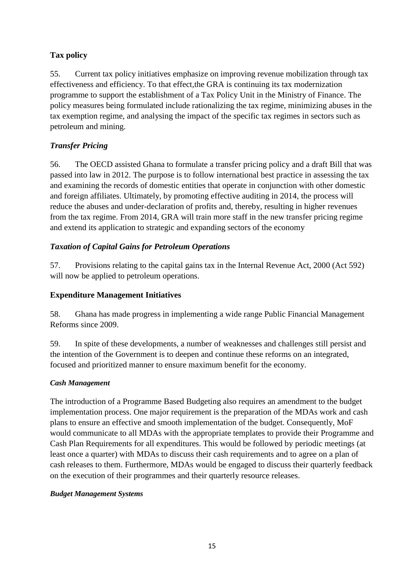# **Tax policy**

55. Current tax policy initiatives emphasize on improving revenue mobilization through tax effectiveness and efficiency. To that effect,the GRA is continuing its tax modernization programme to support the establishment of a Tax Policy Unit in the Ministry of Finance. The policy measures being formulated include rationalizing the tax regime, minimizing abuses in the tax exemption regime, and analysing the impact of the specific tax regimes in sectors such as petroleum and mining.

# *Transfer Pricing*

56. The OECD assisted Ghana to formulate a transfer pricing policy and a draft Bill that was passed into law in 2012. The purpose is to follow international best practice in assessing the tax and examining the records of domestic entities that operate in conjunction with other domestic and foreign affiliates. Ultimately, by promoting effective auditing in 2014, the process will reduce the abuses and under-declaration of profits and, thereby, resulting in higher revenues from the tax regime. From 2014, GRA will train more staff in the new transfer pricing regime and extend its application to strategic and expanding sectors of the economy

# *Taxation of Capital Gains for Petroleum Operations*

57. Provisions relating to the capital gains tax in the Internal Revenue Act, 2000 (Act 592) will now be applied to petroleum operations.

# **Expenditure Management Initiatives**

58. Ghana has made progress in implementing a wide range Public Financial Management Reforms since 2009.

59. In spite of these developments, a number of weaknesses and challenges still persist and the intention of the Government is to deepen and continue these reforms on an integrated, focused and prioritized manner to ensure maximum benefit for the economy.

# *Cash Management*

The introduction of a Programme Based Budgeting also requires an amendment to the budget implementation process. One major requirement is the preparation of the MDAs work and cash plans to ensure an effective and smooth implementation of the budget. Consequently, MoF would communicate to all MDAs with the appropriate templates to provide their Programme and Cash Plan Requirements for all expenditures. This would be followed by periodic meetings (at least once a quarter) with MDAs to discuss their cash requirements and to agree on a plan of cash releases to them. Furthermore, MDAs would be engaged to discuss their quarterly feedback on the execution of their programmes and their quarterly resource releases.

# *Budget Management Systems*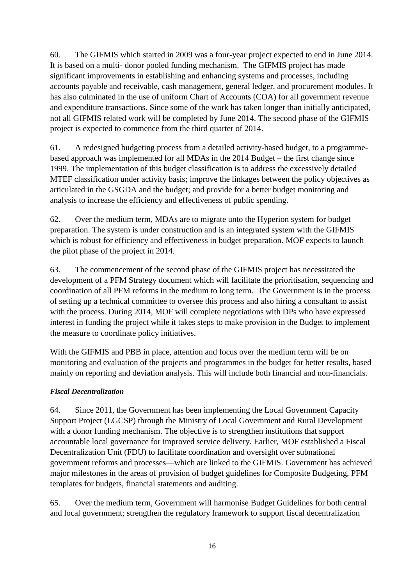60. The GIFMIS which started in 2009 was a four-year project expected to end in June 2014. It is based on a multi- donor pooled funding mechanism. The GIFMIS project has made significant improvements in establishing and enhancing systems and processes, including accounts payable and receivable, cash management, general ledger, and procurement modules. It has also culminated in the use of uniform Chart of Accounts (COA) for all government revenue and expenditure transactions. Since some of the work has taken longer than initially anticipated, not all GIFMIS related work will be completed by June 2014. The second phase of the GIFMIS project is expected to commence from the third quarter of 2014.

61. A redesigned budgeting process from a detailed activity-based budget, to a programmebased approach was implemented for all MDAs in the 2014 Budget – the first change since 1999. The implementation of this budget classification is to address the excessively detailed MTEF classification under activity basis; improve the linkages between the policy objectives as articulated in the GSGDA and the budget; and provide for a better budget monitoring and analysis to increase the efficiency and effectiveness of public spending.

62. Over the medium term, MDAs are to migrate unto the Hyperion system for budget preparation. The system is under construction and is an integrated system with the GIFMIS which is robust for efficiency and effectiveness in budget preparation. MOF expects to launch the pilot phase of the project in 2014.

63. The commencement of the second phase of the GIFMIS project has necessitated the development of a PFM Strategy document which will facilitate the prioritisation, sequencing and coordination of all PFM reforms in the medium to long term. The Government is in the process of setting up a technical committee to oversee this process and also hiring a consultant to assist with the process. During 2014, MOF will complete negotiations with DPs who have expressed interest in funding the project while it takes steps to make provision in the Budget to implement the measure to coordinate policy initiatives.

With the GIFMIS and PBB in place, attention and focus over the medium term will be on monitoring and evaluation of the projects and programmes in the budget for better results, based mainly on reporting and deviation analysis. This will include both financial and non-financials.

#### *Fiscal Decentralization*

64. Since 2011, the Government has been implementing the Local Government Capacity Support Project (LGCSP) through the Ministry of Local Government and Rural Development with a donor funding mechanism. The objective is to strengthen institutions that support accountable local governance for improved service delivery. Earlier, MOF established a Fiscal Decentralization Unit (FDU) to facilitate coordination and oversight over subnational government reforms and processes—which are linked to the GIFMIS. Government has achieved major milestones in the areas of provision of budget guidelines for Composite Budgeting, PFM templates for budgets, financial statements and auditing.

65. Over the medium term, Government will harmonise Budget Guidelines for both central and local government; strengthen the regulatory framework to support fiscal decentralization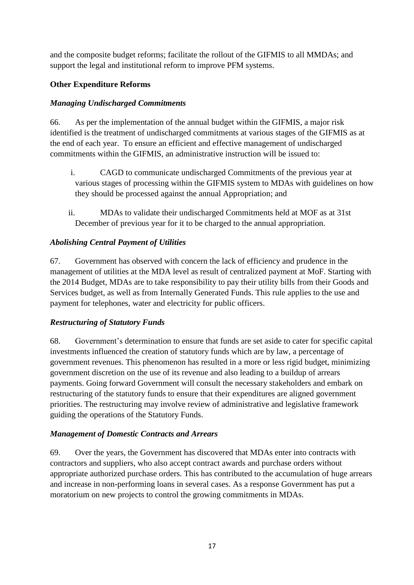and the composite budget reforms; facilitate the rollout of the GIFMIS to all MMDAs; and support the legal and institutional reform to improve PFM systems.

#### **Other Expenditure Reforms**

#### *Managing Undischarged Commitments*

66. As per the implementation of the annual budget within the GIFMIS, a major risk identified is the treatment of undischarged commitments at various stages of the GIFMIS as at the end of each year. To ensure an efficient and effective management of undischarged commitments within the GIFMIS, an administrative instruction will be issued to:

- i. CAGD to communicate undischarged Commitments of the previous year at various stages of processing within the GIFMIS system to MDAs with guidelines on how they should be processed against the annual Appropriation; and
- ii. MDAs to validate their undischarged Commitments held at MOF as at 31st December of previous year for it to be charged to the annual appropriation.

#### *Abolishing Central Payment of Utilities*

67. Government has observed with concern the lack of efficiency and prudence in the management of utilities at the MDA level as result of centralized payment at MoF. Starting with the 2014 Budget, MDAs are to take responsibility to pay their utility bills from their Goods and Services budget, as well as from Internally Generated Funds. This rule applies to the use and payment for telephones, water and electricity for public officers.

#### *Restructuring of Statutory Funds*

68. Government's determination to ensure that funds are set aside to cater for specific capital investments influenced the creation of statutory funds which are by law, a percentage of government revenues. This phenomenon has resulted in a more or less rigid budget, minimizing government discretion on the use of its revenue and also leading to a buildup of arrears payments. Going forward Government will consult the necessary stakeholders and embark on restructuring of the statutory funds to ensure that their expenditures are aligned government priorities. The restructuring may involve review of administrative and legislative framework guiding the operations of the Statutory Funds.

#### *Management of Domestic Contracts and Arrears*

69. Over the years, the Government has discovered that MDAs enter into contracts with contractors and suppliers, who also accept contract awards and purchase orders without appropriate authorized purchase orders. This has contributed to the accumulation of huge arrears and increase in non-performing loans in several cases. As a response Government has put a moratorium on new projects to control the growing commitments in MDAs.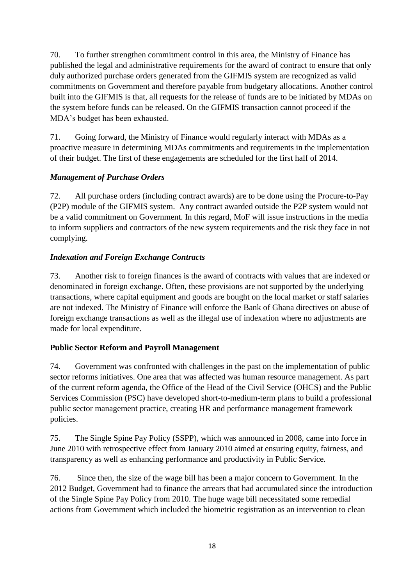70. To further strengthen commitment control in this area, the Ministry of Finance has published the legal and administrative requirements for the award of contract to ensure that only duly authorized purchase orders generated from the GIFMIS system are recognized as valid commitments on Government and therefore payable from budgetary allocations. Another control built into the GIFMIS is that, all requests for the release of funds are to be initiated by MDAs on the system before funds can be released. On the GIFMIS transaction cannot proceed if the MDA's budget has been exhausted.

71. Going forward, the Ministry of Finance would regularly interact with MDAs as a proactive measure in determining MDAs commitments and requirements in the implementation of their budget. The first of these engagements are scheduled for the first half of 2014.

# *Management of Purchase Orders*

72. All purchase orders (including contract awards) are to be done using the Procure-to-Pay (P2P) module of the GIFMIS system. Any contract awarded outside the P2P system would not be a valid commitment on Government. In this regard, MoF will issue instructions in the media to inform suppliers and contractors of the new system requirements and the risk they face in not complying.

# *Indexation and Foreign Exchange Contracts*

73. Another risk to foreign finances is the award of contracts with values that are indexed or denominated in foreign exchange. Often, these provisions are not supported by the underlying transactions, where capital equipment and goods are bought on the local market or staff salaries are not indexed. The Ministry of Finance will enforce the Bank of Ghana directives on abuse of foreign exchange transactions as well as the illegal use of indexation where no adjustments are made for local expenditure.

# **Public Sector Reform and Payroll Management**

74. Government was confronted with challenges in the past on the implementation of public sector reforms initiatives. One area that was affected was human resource management. As part of the current reform agenda, the Office of the Head of the Civil Service (OHCS) and the Public Services Commission (PSC) have developed short-to-medium-term plans to build a professional public sector management practice, creating HR and performance management framework policies.

75. The Single Spine Pay Policy (SSPP), which was announced in 2008, came into force in June 2010 with retrospective effect from January 2010 aimed at ensuring equity, fairness, and transparency as well as enhancing performance and productivity in Public Service.

76. Since then, the size of the wage bill has been a major concern to Government. In the 2012 Budget, Government had to finance the arrears that had accumulated since the introduction of the Single Spine Pay Policy from 2010. The huge wage bill necessitated some remedial actions from Government which included the biometric registration as an intervention to clean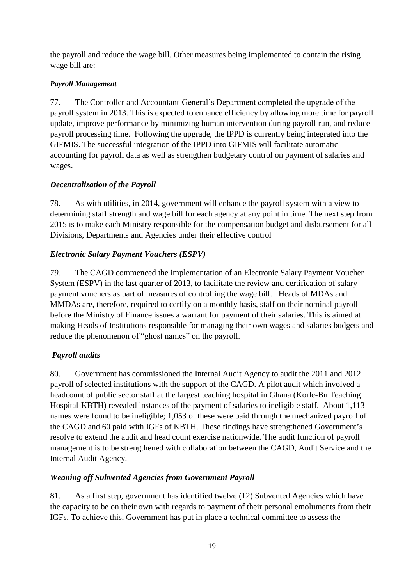the payroll and reduce the wage bill. Other measures being implemented to contain the rising wage bill are:

# *Payroll Management*

77. The Controller and Accountant-General's Department completed the upgrade of the payroll system in 2013. This is expected to enhance efficiency by allowing more time for payroll update, improve performance by minimizing human intervention during payroll run, and reduce payroll processing time. Following the upgrade, the IPPD is currently being integrated into the GIFMIS. The successful integration of the IPPD into GIFMIS will facilitate automatic accounting for payroll data as well as strengthen budgetary control on payment of salaries and wages.

# *Decentralization of the Payroll*

78. As with utilities, in 2014, government will enhance the payroll system with a view to determining staff strength and wage bill for each agency at any point in time. The next step from 2015 is to make each Ministry responsible for the compensation budget and disbursement for all Divisions, Departments and Agencies under their effective control

# *Electronic Salary Payment Vouchers (ESPV)*

*79.* The CAGD commenced the implementation of an Electronic Salary Payment Voucher System (ESPV) in the last quarter of 2013, to facilitate the review and certification of salary payment vouchers as part of measures of controlling the wage bill. Heads of MDAs and MMDAs are, therefore, required to certify on a monthly basis, staff on their nominal payroll before the Ministry of Finance issues a warrant for payment of their salaries. This is aimed at making Heads of Institutions responsible for managing their own wages and salaries budgets and reduce the phenomenon of "ghost names" on the payroll.

# *Payroll audits*

80. Government has commissioned the Internal Audit Agency to audit the 2011 and 2012 payroll of selected institutions with the support of the CAGD. A pilot audit which involved a headcount of public sector staff at the largest teaching hospital in Ghana (Korle-Bu Teaching Hospital-KBTH) revealed instances of the payment of salaries to ineligible staff. About 1,113 names were found to be ineligible; 1,053 of these were paid through the mechanized payroll of the CAGD and 60 paid with IGFs of KBTH. These findings have strengthened Government's resolve to extend the audit and head count exercise nationwide. The audit function of payroll management is to be strengthened with collaboration between the CAGD, Audit Service and the Internal Audit Agency.

# *Weaning off Subvented Agencies from Government Payroll*

81. As a first step, government has identified twelve (12) Subvented Agencies which have the capacity to be on their own with regards to payment of their personal emoluments from their IGFs. To achieve this, Government has put in place a technical committee to assess the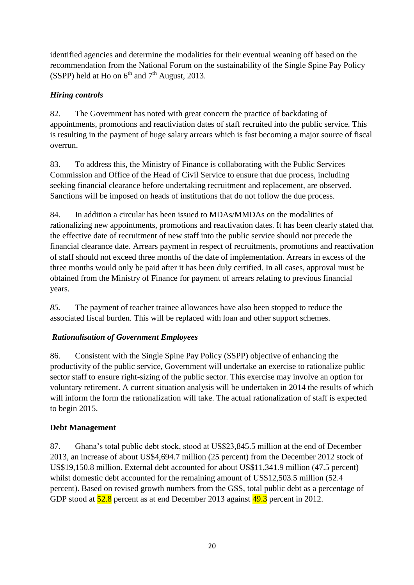identified agencies and determine the modalities for their eventual weaning off based on the recommendation from the National Forum on the sustainability of the Single Spine Pay Policy (SSPP) held at Ho on  $6<sup>th</sup>$  and  $7<sup>th</sup>$  August, 2013.

# *Hiring controls*

82. The Government has noted with great concern the practice of backdating of appointments, promotions and reactiviation dates of staff recruited into the public service. This is resulting in the payment of huge salary arrears which is fast becoming a major source of fiscal overrun.

83. To address this, the Ministry of Finance is collaborating with the Public Services Commission and Office of the Head of Civil Service to ensure that due process, including seeking financial clearance before undertaking recruitment and replacement, are observed. Sanctions will be imposed on heads of institutions that do not follow the due process.

84. In addition a circular has been issued to MDAs/MMDAs on the modalities of rationalizing new appointments, promotions and reactivation dates. It has been clearly stated that the effective date of recruitment of new staff into the public service should not precede the financial clearance date. Arrears payment in respect of recruitments, promotions and reactivation of staff should not exceed three months of the date of implementation. Arrears in excess of the three months would only be paid after it has been duly certified. In all cases, approval must be obtained from the Ministry of Finance for payment of arrears relating to previous financial years.

*85.* The payment of teacher trainee allowances have also been stopped to reduce the associated fiscal burden. This will be replaced with loan and other support schemes.

# *Rationalisation of Government Employees*

86. Consistent with the Single Spine Pay Policy (SSPP) objective of enhancing the productivity of the public service, Government will undertake an exercise to rationalize public sector staff to ensure right-sizing of the public sector. This exercise may involve an option for voluntary retirement. A current situation analysis will be undertaken in 2014 the results of which will inform the form the rationalization will take. The actual rationalization of staff is expected to begin 2015.

# **Debt Management**

87. Ghana's total public debt stock, stood at US\$23,845.5 million at the end of December 2013, an increase of about US\$4,694.7 million (25 percent) from the December 2012 stock of US\$19,150.8 million. External debt accounted for about US\$11,341.9 million (47.5 percent) whilst domestic debt accounted for the remaining amount of US\$12,503.5 million (52.4 percent). Based on revised growth numbers from the GSS, total public debt as a percentage of GDP stood at  $\frac{52.8}{2}$  percent as at end December 2013 against  $\frac{49.3}{2}$  percent in 2012.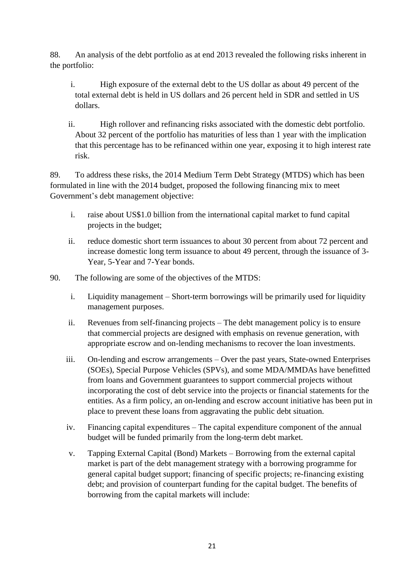88. An analysis of the debt portfolio as at end 2013 revealed the following risks inherent in the portfolio:

- i. High exposure of the external debt to the US dollar as about 49 percent of the total external debt is held in US dollars and 26 percent held in SDR and settled in US dollars.
- ii. High rollover and refinancing risks associated with the domestic debt portfolio. About 32 percent of the portfolio has maturities of less than 1 year with the implication that this percentage has to be refinanced within one year, exposing it to high interest rate risk.

89. To address these risks, the 2014 Medium Term Debt Strategy (MTDS) which has been formulated in line with the 2014 budget, proposed the following financing mix to meet Government's debt management objective:

- i. raise about US\$1.0 billion from the international capital market to fund capital projects in the budget;
- ii. reduce domestic short term issuances to about 30 percent from about 72 percent and increase domestic long term issuance to about 49 percent, through the issuance of 3- Year, 5-Year and 7-Year bonds.
- 90. The following are some of the objectives of the MTDS:
	- i. Liquidity management Short-term borrowings will be primarily used for liquidity management purposes.
	- ii. Revenues from self-financing projects The debt management policy is to ensure that commercial projects are designed with emphasis on revenue generation, with appropriate escrow and on-lending mechanisms to recover the loan investments.
	- iii. On-lending and escrow arrangements Over the past years, State-owned Enterprises (SOEs), Special Purpose Vehicles (SPVs), and some MDA/MMDAs have benefitted from loans and Government guarantees to support commercial projects without incorporating the cost of debt service into the projects or financial statements for the entities. As a firm policy, an on-lending and escrow account initiative has been put in place to prevent these loans from aggravating the public debt situation.
	- iv. Financing capital expenditures The capital expenditure component of the annual budget will be funded primarily from the long-term debt market.
	- v. Tapping External Capital (Bond) Markets Borrowing from the external capital market is part of the debt management strategy with a borrowing programme for general capital budget support; financing of specific projects; re-financing existing debt; and provision of counterpart funding for the capital budget. The benefits of borrowing from the capital markets will include: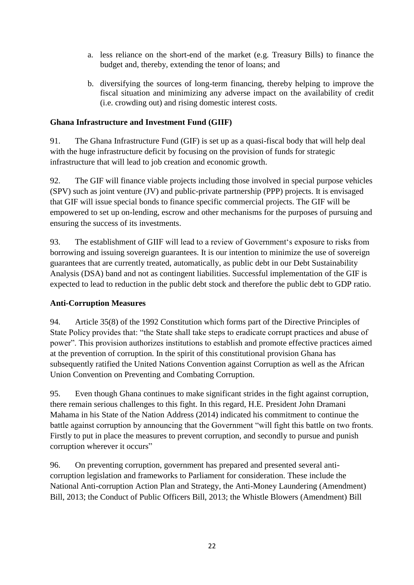- a. less reliance on the short-end of the market (e.g. Treasury Bills) to finance the budget and, thereby, extending the tenor of loans; and
- b. diversifying the sources of long-term financing, thereby helping to improve the fiscal situation and minimizing any adverse impact on the availability of credit (i.e. crowding out) and rising domestic interest costs.

#### **Ghana Infrastructure and Investment Fund (GIIF)**

91. The Ghana Infrastructure Fund (GIF) is set up as a quasi-fiscal body that will help deal with the huge infrastructure deficit by focusing on the provision of funds for strategic infrastructure that will lead to job creation and economic growth.

92. The GIF will finance viable projects including those involved in special purpose vehicles (SPV) such as joint venture (JV) and public-private partnership (PPP) projects. It is envisaged that GIF will issue special bonds to finance specific commercial projects. The GIF will be empowered to set up on-lending, escrow and other mechanisms for the purposes of pursuing and ensuring the success of its investments.

93. The establishment of GIIF will lead to a review of Government's exposure to risks from borrowing and issuing sovereign guarantees. It is our intention to minimize the use of sovereign guarantees that are currently treated, automatically, as public debt in our Debt Sustainability Analysis (DSA) band and not as contingent liabilities. Successful implementation of the GIF is expected to lead to reduction in the public debt stock and therefore the public debt to GDP ratio.

# **Anti-Corruption Measures**

94. Article 35(8) of the 1992 Constitution which forms part of the Directive Principles of State Policy provides that: "the State shall take steps to eradicate corrupt practices and abuse of power". This provision authorizes institutions to establish and promote effective practices aimed at the prevention of corruption. In the spirit of this constitutional provision Ghana has subsequently ratified the United Nations Convention against Corruption as well as the African Union Convention on Preventing and Combating Corruption.

95. Even though Ghana continues to make significant strides in the fight against corruption, there remain serious challenges to this fight. In this regard, H.E. President John Dramani Mahama in his State of the Nation Address (2014) indicated his commitment to continue the battle against corruption by announcing that the Government "will fight this battle on two fronts. Firstly to put in place the measures to prevent corruption, and secondly to pursue and punish corruption wherever it occurs"

96. On preventing corruption, government has prepared and presented several anticorruption legislation and frameworks to Parliament for consideration. These include the National Anti-corruption Action Plan and Strategy, the Anti-Money Laundering (Amendment) Bill, 2013; the Conduct of Public Officers Bill, 2013; the Whistle Blowers (Amendment) Bill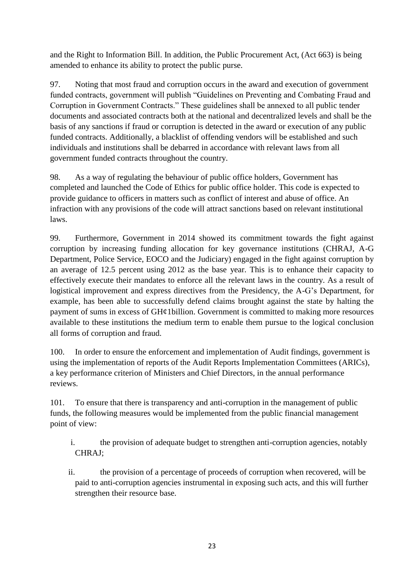and the Right to Information Bill. In addition, the Public Procurement Act, (Act 663) is being amended to enhance its ability to protect the public purse.

97. Noting that most fraud and corruption occurs in the award and execution of government funded contracts, government will publish "Guidelines on Preventing and Combating Fraud and Corruption in Government Contracts." These guidelines shall be annexed to all public tender documents and associated contracts both at the national and decentralized levels and shall be the basis of any sanctions if fraud or corruption is detected in the award or execution of any public funded contracts. Additionally, a blacklist of offending vendors will be established and such individuals and institutions shall be debarred in accordance with relevant laws from all government funded contracts throughout the country.

98. As a way of regulating the behaviour of public office holders, Government has completed and launched the Code of Ethics for public office holder. This code is expected to provide guidance to officers in matters such as conflict of interest and abuse of office. An infraction with any provisions of the code will attract sanctions based on relevant institutional laws.

99. Furthermore, Government in 2014 showed its commitment towards the fight against corruption by increasing funding allocation for key governance institutions (CHRAJ, A-G Department, Police Service, EOCO and the Judiciary) engaged in the fight against corruption by an average of 12.5 percent using 2012 as the base year. This is to enhance their capacity to effectively execute their mandates to enforce all the relevant laws in the country. As a result of logistical improvement and express directives from the Presidency, the A-G's Department, for example, has been able to successfully defend claims brought against the state by halting the payment of sums in excess of GH¢1billion. Government is committed to making more resources available to these institutions the medium term to enable them pursue to the logical conclusion all forms of corruption and fraud.

100. In order to ensure the enforcement and implementation of Audit findings, government is using the implementation of reports of the Audit Reports Implementation Committees (ARICs), a key performance criterion of Ministers and Chief Directors, in the annual performance reviews.

101. To ensure that there is transparency and anti-corruption in the management of public funds, the following measures would be implemented from the public financial management point of view:

- i. the provision of adequate budget to strengthen anti-corruption agencies, notably CHRAJ;
- ii. the provision of a percentage of proceeds of corruption when recovered, will be paid to anti-corruption agencies instrumental in exposing such acts, and this will further strengthen their resource base.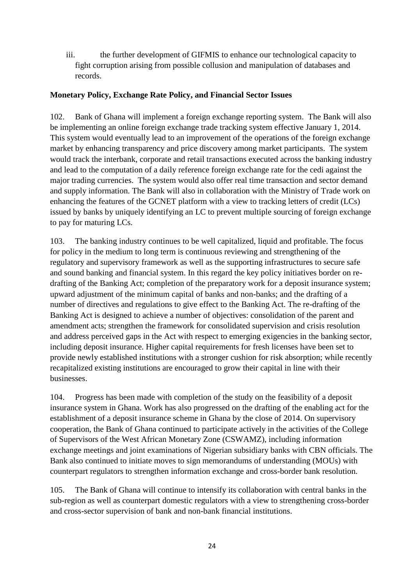iii. the further development of GIFMIS to enhance our technological capacity to fight corruption arising from possible collusion and manipulation of databases and records.

#### **Monetary Policy, Exchange Rate Policy, and Financial Sector Issues**

102. Bank of Ghana will implement a foreign exchange reporting system. The Bank will also be implementing an online foreign exchange trade tracking system effective January 1, 2014. This system would eventually lead to an improvement of the operations of the foreign exchange market by enhancing transparency and price discovery among market participants. The system would track the interbank, corporate and retail transactions executed across the banking industry and lead to the computation of a daily reference foreign exchange rate for the cedi against the major trading currencies. The system would also offer real time transaction and sector demand and supply information. The Bank will also in collaboration with the Ministry of Trade work on enhancing the features of the GCNET platform with a view to tracking letters of credit (LCs) issued by banks by uniquely identifying an LC to prevent multiple sourcing of foreign exchange to pay for maturing LCs.

103. The banking industry continues to be well capitalized, liquid and profitable. The focus for policy in the medium to long term is continuous reviewing and strengthening of the regulatory and supervisory framework as well as the supporting infrastructures to secure safe and sound banking and financial system. In this regard the key policy initiatives border on redrafting of the Banking Act; completion of the preparatory work for a deposit insurance system; upward adjustment of the minimum capital of banks and non-banks; and the drafting of a number of directives and regulations to give effect to the Banking Act. The re-drafting of the Banking Act is designed to achieve a number of objectives: consolidation of the parent and amendment acts; strengthen the framework for consolidated supervision and crisis resolution and address perceived gaps in the Act with respect to emerging exigencies in the banking sector, including deposit insurance. Higher capital requirements for fresh licenses have been set to provide newly established institutions with a stronger cushion for risk absorption; while recently recapitalized existing institutions are encouraged to grow their capital in line with their businesses.

104. Progress has been made with completion of the study on the feasibility of a deposit insurance system in Ghana. Work has also progressed on the drafting of the enabling act for the establishment of a deposit insurance scheme in Ghana by the close of 2014. On supervisory cooperation, the Bank of Ghana continued to participate actively in the activities of the College of Supervisors of the West African Monetary Zone (CSWAMZ), including information exchange meetings and joint examinations of Nigerian subsidiary banks with CBN officials. The Bank also continued to initiate moves to sign memorandums of understanding (MOUs) with counterpart regulators to strengthen information exchange and cross-border bank resolution.

105. The Bank of Ghana will continue to intensify its collaboration with central banks in the sub-region as well as counterpart domestic regulators with a view to strengthening cross-border and cross-sector supervision of bank and non-bank financial institutions.